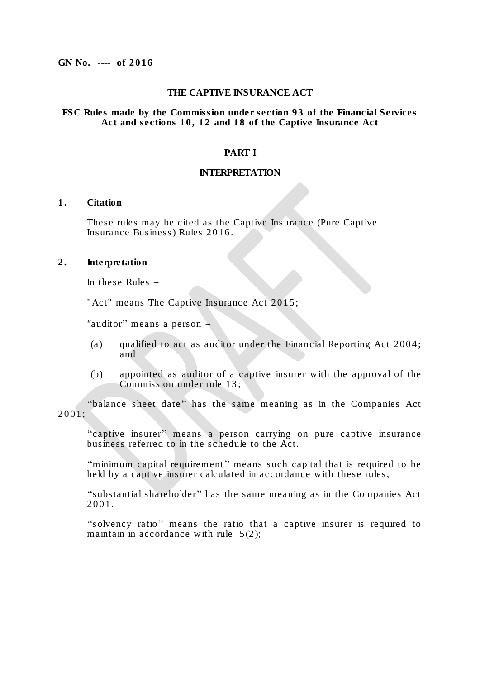#### **THE CAPTIVE INSURANCE ACT**

#### **FSC Rules made by the Commission under section 9 3 of the Financial Services Act and sections 1 0 , 1 2 and 1 8 of the Captive Insurance Act**

#### **PART I**

#### **INTERPRETATION**

### **1 . Citation**

These rules may be cited as the Captive Insurance (Pure Captive Insurance Business) Rules 201 6 .

# **2 . Interpretation**

In these Rules  $-$ 

"Act" means The Captive Insurance Act 2015;

"auditor" means a person  $-$ 

- (a) qualified to act as auditor under the Financial Reporting Act  $2004$ ; and
- (b) appointed as auditor of a captive insurer w ith the approval of the Commission under rule 13;

"balance sheet date" has the same meaning as in the Companies Act 2001;

"captive insurer" means a person carrying on pure captive insurance business referred to in the schedule to the Act.

''minimum capital requirement'' means such capital that is required to be held by a captive insurer calculated in accordance with these rules;

"substantial shareholder" has the same meaning as in the Companies Act 2001.

''solvency ratio'' means the ratio that a captive insurer is required to maintain in accordance with rule  $5(2)$ :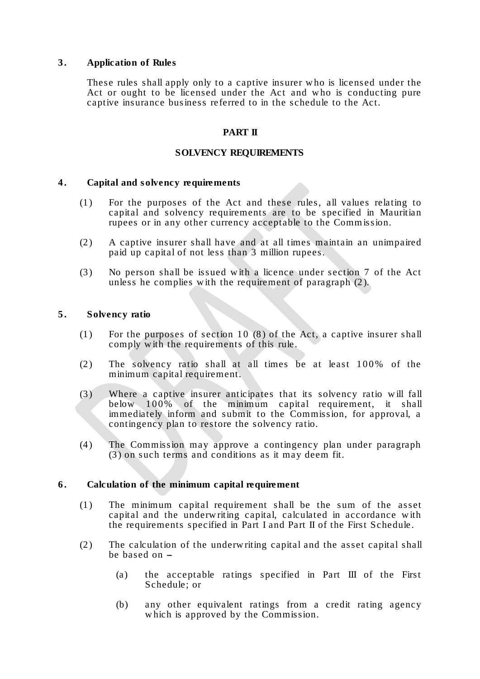## **3 . Application of Rules**

These rules shall apply only to a captive insurer w ho is licensed under the Act or ought to be licensed under the Act and who is conducting pure captive insurance business referred to in the schedule to the Act.

### **PART II**

### **SOLVENCY REQUIREMENTS**

#### **4 . Capital and solvency requirements**

- (1 ) For the purposes of the Act and these rules, all values relating to capital and solvency requirements are to be specified in Mauritian rupees or in any other currency acceptable to the Commission.
- (2 ) A captive insurer shall have and at all times maintain an unimpaired paid up capital of not less than 3 million rupees.
- (3 ) No person shall be issued w ith a licence under section 7 of the Act unless he complies w ith the requirement of paragraph (2 ).

### **5 . Solvency ratio**

- (1) For the purposes of section 10  $(8)$  of the Act, a captive insurer shall comply w ith the requirements of this rule.
- (2) The solvency ratio shall at all times be at least  $100\%$  of the minimum capital requirement.
- (3 ) Where a captive insurer anticipates that its solvency ratio w ill fall below  $100\%$  of the minimum capital requirement, it shall immediately inform and submit to the Commission, for approval, a contingency plan to restore the solvency ratio.
- (4 ) The Commission may approve a contingency plan under paragraph (3 ) on such terms and conditions as it may deem fit.

## **6 . Calculation of the minimum capital requirement**

- (1 ) The minimum capital requirement shall be the sum of the asset capital and the underw riting capital, calculated in accordance w ith the requirements specified in Part I and Part II of the First Schedule .
- (2 ) The calculation of the underw riting capital and the asset capital shall be based on  $-$ 
	- (a) the acceptable ratings specified in Part III of the First Schedule; or
	- (b) any other equivalent ratings from a credit rating agency which is approved by the Commission.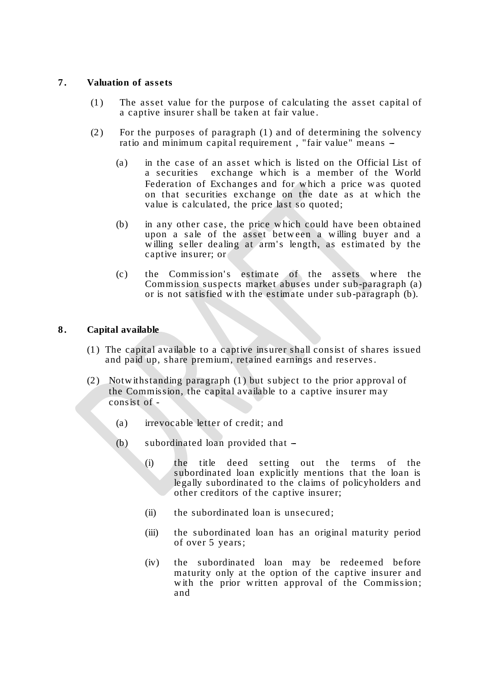## **7 . Valuation of assets**

- (1 ) The asset value for the purpose of calculating the asset capital of a captive insurer shall be taken at fair value .
- (2) For the purposes of paragraph  $(1)$  and of determining the solvency ratio and minimum capital requirement , "fair value" means --
	- (a) in the case of an asset w hich is listed on the Official List of a securities exchange w hich is a member of the World Federation of Exchanges and for which a price was quoted on that securities exchange on the date as at w hich the value is calculated, the price last so quoted;
	- (b) in any other case, the price w hich could have been obtained upon a sale of the asset betw een a w illing buyer and a willing seller dealing at arm's length, as estimated by the captive insurer; or
	- (c) the Commission's estimate of the assets where the Commission suspects market abuses under sub-paragraph (a) or is not satisfied w ith the estimate under sub-paragraph (b).

# **8 . Capital available**

- (1 ) The capital available to a captive insurer shall consist of shares issued and paid up, share premium, retained earnings and reserves.
- (2 ) Notw ithstanding paragraph (1 ) but subject to the prior approval of the Commission, the capital available to a captive insurer may consist of -
	- (a) irrevocable letter of credit; and
	- $(b)$  subordinated loan provided that  $-$ 
		- (i) the title deed setting out the terms of the subordinated loan explicitly mentions that the loan is legally subordinated to the claims of policyholders and other creditors of the captive insurer;
		- (ii) the subordinated loan is unsecured;
		- (iii) the subordinated loan has an original maturity period of over 5 years;
		- (iv) the subordinated loan may be redeemed before maturity only at the option of the captive insurer and with the prior written approval of the Commission; and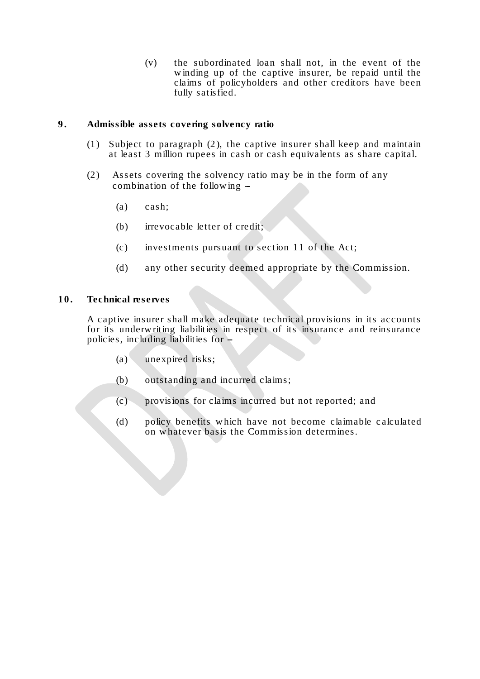(v) the subordinated loan shall not, in the event of the w inding up of the captive insurer, be repaid until the claims of policyholders and other creditors have been fully satisfied.

### **9 . Admissible assets covering solvency ratio**

- (1) Subject to paragraph  $(2)$ , the captive insurer shall keep and maintain at least 3 million rupees in cash or cash equivalents as share capital.
- (2) Assets covering the solvency ratio may be in the form of any combination of the following  $-$ 
	- (a) cash;
	- (b) irrevocable letter of credit;
	- $(c)$  investments pursuant to section 11 of the Act;
	- (d) any other security deemed appropriate by the Commission.

### **10. Technical reserves**

A captive insurer shall make adequate technical provisions in its accounts for its underw riting liabilities in respect of its insurance and reinsurance policies, including liabilities for  $-$ 

- (a) unexpired risks;
- (b) outstanding and incurred claims;
- (c) provisions for claims incurred but not reported; and
- (d) policy benefits w hich have not become claimable c alculated on w hatever basis the Commission determines.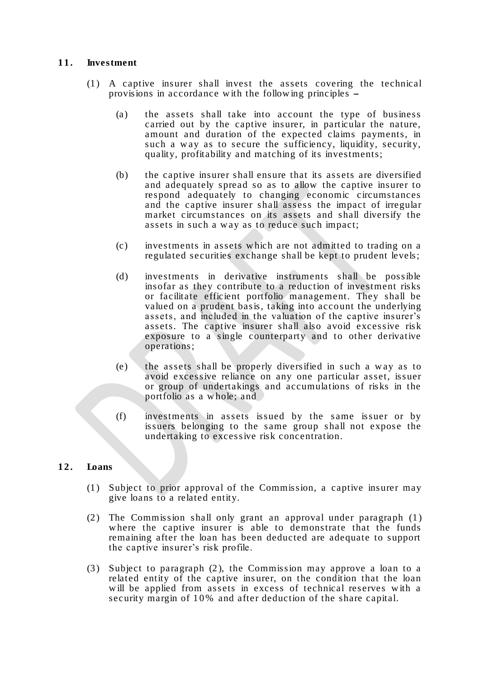## **11. Investment**

- (1 ) A captive insurer shall invest the assets covering the technical provisions in accordance w ith the follow ing principles --
	- (a) the assets shall take into account the type of business carried out by the captive insurer, in particular the nature, amount and duration of the expected claims payments, in such a way as to secure the sufficiency, liquidity, security, quality, profitability and matching of its investments;
	- (b) the captive insurer shall ensure that its assets are diversified and adequately spread so as to allow the captive insurer to respond adequately to changing economic circumstances and the captive insurer shall assess the impact of irregular market circumstances on its assets and shall diversify the assets in such a way as to reduce such impact;
	- (c) investments in assets w hich are not admitted to trading on a regulated securities exchange shall be kept to prudent levels;
	- (d) investments in derivative instruments shall be possible insofar as they contribute to a reduction of investment risks or facilitate efficient portfolio management. They shall be valued on a prudent basis, taking into account the underlying assets, and included in the valuation of the captive insurer's assets. The captive insurer shall also avoid excessive risk exposure to a single counterparty and to other derivative operations;
	- (e) the assets shall be properly diversified in such a w ay as to avoid excessive reliance on any one particular asset, issuer or group of undertakings and accumulations of risks in the portfolio as a w hole; and
	- (f) investments in assets issued by the same issuer or by issuers belonging to the same group shall not expose the undertaking to excessive risk concentration.

## **12. Loans**

- (1 ) Subject to prior approval of the Commission, a captive insurer may give loans to a related entity.
- (2) The Commission shall only grant an approval under paragraph (1) w here the captive insurer is able to demonstrate that the funds remaining after the loan has been deducted are adequate to support the captive insurer's risk profile.
- (3 ) Subject to paragraph (2 ), the Commission may approve a loan to a related entity of the captive ins urer, on the condition that the loan will be applied from assets in excess of technical reserves with a security margin of 10% and after deduction of the share capital.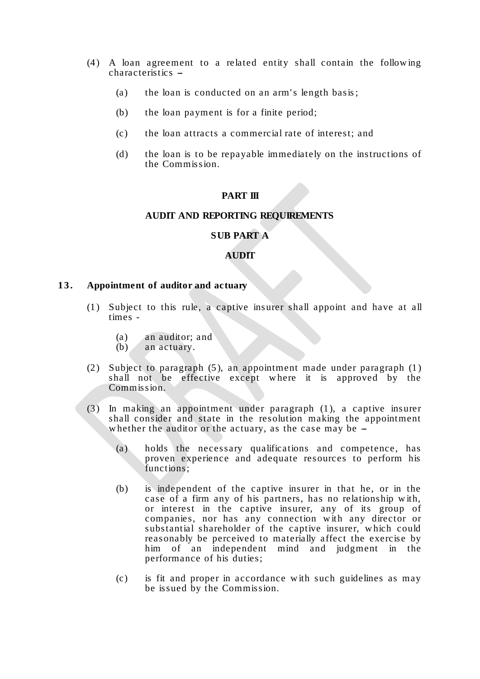- (4 ) A loan agreement to a related entity shall contain the follow ing characteristics --
	- (a) the loan is conducted on an arm's length basis;
	- (b) the loan payment is for a finite period;
	- (c) the loan attracts a commercial rate of interest; and
	- (d) the loan is to be repayable immediately on the instructions of the Commission.

#### **PART III**

#### **AUDIT AND REPORTING REQUIREMENTS**

#### **SUB PART A**

#### **AUDIT**

#### **13. Appointment of auditor and actuary**

- (1 ) Subject to this rule, a captive insurer shall appoint and have at all times -
	- (a) an auditor; and
	- (b) an actuary.
- (2) Subject to paragraph  $(5)$ , an appointment made under paragraph  $(1)$ shall not be effective except w here it is approved by the Commission.
- (3 ) In making an appointment under paragraph (1 ), a captive insurer shall consider and state in the resolution making the appointment whether the auditor or the actuary, as the case may be  $-$ 
	- (a) holds the necessary qualifications and competence, has proven experience and adequate resources to perform his functions;
	- (b) is independent of the captive insurer in that he, or in the case of a firm any of his partners, has no relationship w ith, or interest in the captive insurer, any of its group of companies, nor has any connection w ith any director or substantial shareholder of the captive insurer, w hich could reasonably be perceived to materially affect the exercise by him of an independent mind and judgment in the performance of his duties;
	- (c) is fit and proper in accordance w ith such guidelines as may be issued by the Commission.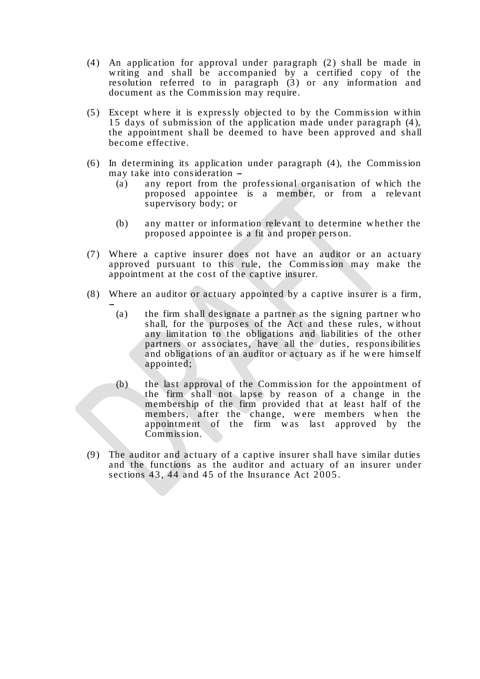- (4) An application for approval under paragraph  $(2)$  shall be made in writing and shall be accompanied by a certified copy of the resolution referred to in paragraph  $(3)$  or any information and document as the Commission may require.
- (5 ) Except w here it is expressly objected to by the Commission w ithin 1 5 days of submission of the application made under paragraph (4 ), the appointment shall be deemed to have been approved and shall become effective.
- $(6)$  In determining its application under paragraph  $(4)$ , the Commission may take into consideration -
	- (a) any report from the professional organisation of w hich the proposed appointee is a member, or from a relevant supervisory body; or
	- (b) any matter or information relevant to determine w hether the proposed appointee is a fit and proper person.
- (7 ) Where a captive insurer does not have an auditor or an actuary approved pursuant to this rule, the Commission may make the appointment at the cost of the captive insurer.
- (8 ) Where an auditor or actuary appointed by a captive insurer is a firm,

--

- (a) the firm shall designate a partner as the signing partner w ho shall, for the purposes of the Act and these rules, without any limitation to the obligations and liabilities of the other partners or associates, have all the duties, responsibilities and obligations of an auditor or actuary as if he were himself appointed;
- (b) the last approval of the Commission for the appointment of the firm shall not lapse by reason of a change in the membership of the firm provided that at least half of the members, after the change, w ere members w hen the appointment of the firm was last approved by the Commission.
- (9 ) The auditor and actuary of a captive insurer shall have similar duties and the functions as the auditor and actuary of an insurer under sections  $43, 44$  and  $45$  of the Insurance Act  $2005$ .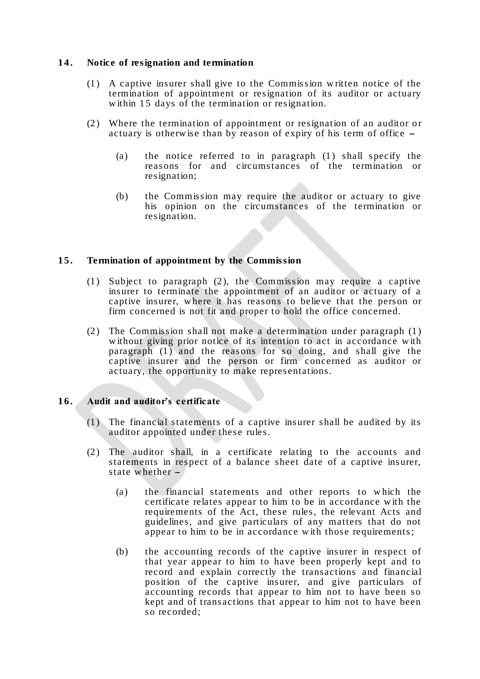### **14. Notice of resignation and termination**

- (1 ) A captive insurer shall give to the Commission w ritten notice of the termination of appointment or resignation of its auditor or actuary within 15 days of the termination or resignation.
- (2) Where the termination of appointment or resignation of an auditor or actuary is otherwise than by reason of expiry of his term of office  $-$ 
	- (a) the notice referred to in paragraph  $(1)$  shall specify the reasons for and circumstances of the termination or resignation;
	- (b) the Commission may require the auditor or actuary to give his opinion on the circumstances of the termination or resignation.

#### **15. Termination of appointment by the Commission**

- (1) Subject to paragraph  $(2)$ , the Commission may require a captive insurer to terminate the appointment of an auditor or actuary of a captive insurer, w here it has reasons to believe that the person or firm concerned is not fit and proper to hold the office concerned.
- (2) The Commission shall not make a determination under paragraph  $(1)$ w ithout giving prior notice of its intention to act in accordance w ith paragraph (1) and the reasons for so doing, and shall give the captive insurer and the person or firm concerned as auditor or actuary, the opportunity to make representations.

### **16. Audit and auditor's certificate**

- $(1)$  The financial statements of a captive insurer shall be audited by its auditor appointed under these rules.
- (2) The auditor shall, in a certificate relating to the accounts and statements in respect of a balance sheet date of a captive insurer, state whether  $-$ 
	- (a) the financial statements and other reports to w hich the certificate relates appear to him to be in accordance w ith the requirements of the Act, these rules, the relevant Acts and guidelines, and give particulars of any matters that do not appear to him to be in accordance w ith those requirements;
	- (b) the accounting records of the captive insurer in respect of that year appear to him to have been properly kept and to record and explain correctly the transactions and financial position of the captive insurer, and give particulars of accounting records that appear to him not to have been so kept and of transactions that appear to him not to have been so recorded;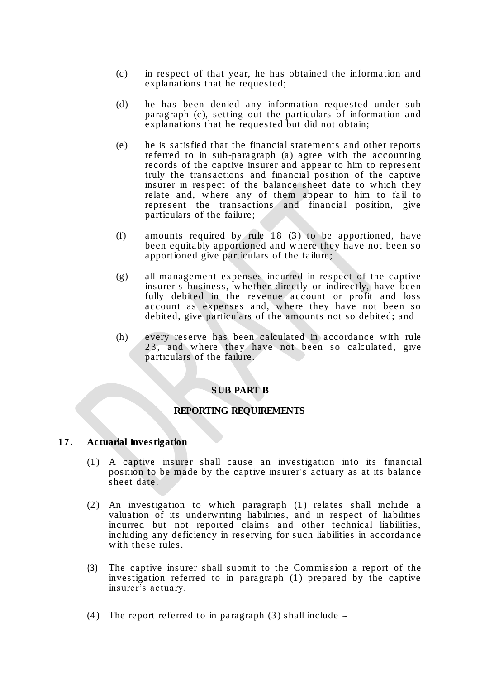- (c) in respect of that year, he has obtained the information and explanations that he requested;
- (d) he has been denied any information requested under sub paragraph (c), setting out the particulars of information and explanations that he requested but did not obtain;
- (e) he is satisfied that the financial statements and other reports referred to in sub-paragraph (a) agree w ith the accounting records of the captive insurer and appear to him to represent truly the transactions and financial position of the captive insurer in respect of the balance sheet date to w hich they relate and, where any of them appear to him to fail to represent the transactions and financial position, give particulars of the failure;
- (f) amounts required by rule  $18$  (3) to be apportioned, have been equitably apportioned and w here they have not been so apportioned give particulars of the failure;
- (g) all management expenses incurred in respect of the captive insurer's business, whether directly or indirectly, have been fully debited in the revenue account or profit and loss account as expenses and, w here they have not been so debited, give particulars of the amounts not so debited; and
- (h) every reserve has been calculated in accordance w ith rule 23, and where they have not been so calculated, give particulars of the failure.

#### **SUB PART B**

## **REPORTING REQUIREMENTS**

#### **17. Actuarial Investigation**

- (1 ) A captive insurer shall cause an investigation into its financial position to be made by the captive insurer' s actuary as at its balance sheet date.
- (2 ) An investigation to w hich paragraph (1 ) relates shall include a valuation of its underw riting liabilities, and in respect of liabilities incurred but not reported claims and other technical liabilities, including any deficiency in reserving for such liabilities in accorda nce with these rules.
- (3) The captive insurer shall submit to the Commission a report of the investigation referred to in paragraph (1) prepared by the captive insurer's actuary.
- (4) The report referred to in paragraph  $(3)$  shall include  $-$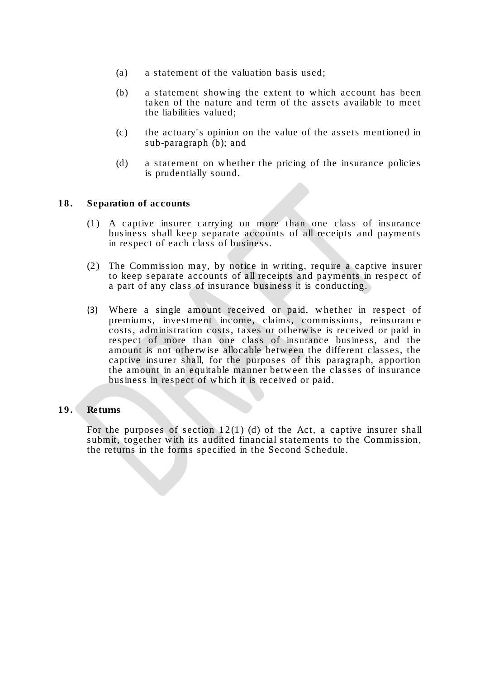- (a) a statement of the valuation basis used;
- (b) a statement show ing the extent to w hich account has been taken of the nature and term of the assets available to meet the liabilities valued;
- (c) the actuary' s opinion on the value of the assets mentioned in sub-paragraph (b); and
- (d) a statement on w hether the pricing of the insurance policies is prudentially sound.

#### **18. Separation of accounts**

- (1 ) A captive insurer carrying on more than one class of insurance business shall keep separate accounts of all receipts and payments in respect of each class of business.
- (2) The Commission may, by notice in writing, require a captive insurer to keep separate accounts of all receipts and payments in respect of a part of any class of insurance business it is conducting.
- (3) Where a single amount received or paid, w hether in respect of premiums, investment income, claims, commissions, reinsurance costs, administration costs, taxes or otherw ise is received or paid in respect of more than one class of insurance business, and the amount is not otherw ise allocable betw een the different classes, the captive insurer shall, for the purposes of this paragraph, apportion the amount in an equitable manner betw een the classes of insurance business in respect of w hich it is received or paid.

#### **19. Returns**

For the purposes of section 12(1) (d) of the Act, a captive insurer shall submit, together with its audited financial statements to the Commission, the returns in the forms specified in the Second Schedule.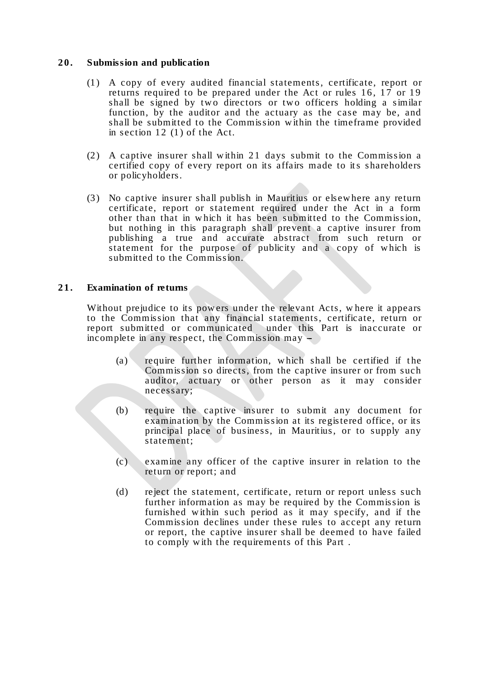## **20. Submission and publication**

- (1 ) A copy of every audited financial statements, certificate, report or returns required to be prepared under the Act or rules  $16$ ,  $17$  or  $19$ shall be signed by two directors or two officers holding a similar function, by the auditor and the actuary as the case may be, and shall be submitted to the Commission w ithin the timeframe provided in section  $12$  (1) of the Act.
- (2) A captive insurer shall within 21 days submit to the Commission a certified copy of every report on its affairs made to its shareholders or policyholders.
- (3 ) No captive insurer shall publish in Mauritius or elsew here any return certificate, report or statement required under the Act in a form other than that in w hich it has been submitted to the Commission, but nothing in this paragraph shall prevent a captive insurer from publishing a true and accurate abstract from such return or statement for the purpose of publicity and a copy of which is submitted to the Commission.

#### **21. Examination of returns**

Without prejudice to its pow ers under the relevant Acts, w here it appears to the Commission that any financial statements, certificate, return or report submitted or communicated under this Part is inaccurate or incomplete in any respect, the Commission may  $-$ 

- $(a)$  require further information, which shall be certified if the Commission so directs, from the captive insurer or from such auditor, actuary or other person as it may consider necessary;
- (b) require the captive insurer to submit any document for examination by the Commission at its registered office, or its principal place of business, in Mauritius, or to supply any statement;
- (c) examine any officer of the captive insurer in relation to the return or report; and
- (d) reject the statement, certificate, return or report unless such further information as may be required by the Commission is furnished w ithin such period as it may specify, and if the Commission declines under these rules to accept any return or report, the captive insurer shall be deemed to have failed to comply w ith the requirements of this Part .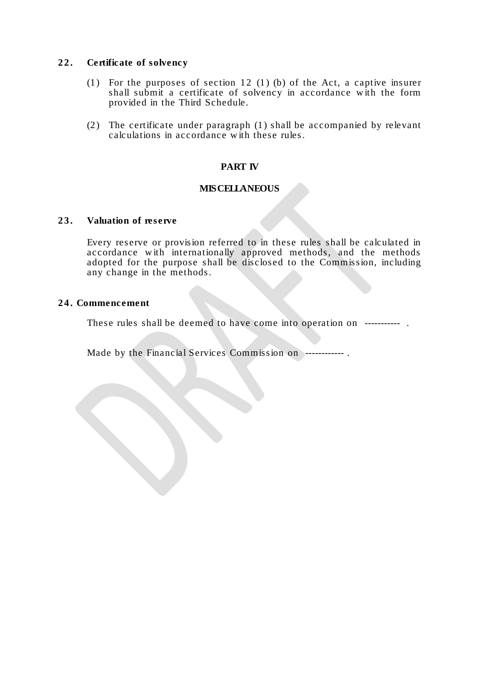## **2 2 . Certificate of solvency**

- (1) For the purposes of section 12 (1) (b) of the Act, a captive insurer shall submit a certificate of solvency in accordance w ith the form provided in the Third Schedule.
- (2) The certificate under paragraph  $(1)$  shall be accompanied by relevant calculations in accordance w ith these rules.

## **PART IV**

## **MISCELLANEOUS**

#### **23. Valuation of reserve**

Every reserve or provision referred to in these rules shall be calculated in accordance w ith internationally approved methods, and the methods adopted for the purpose shall be disclosed to the Commission, including any change in the methods.

#### **2 4 . Commencement**

These rules shall be deemed to have come into operation on -----------

Made by the Financial Services Commission on ------------ .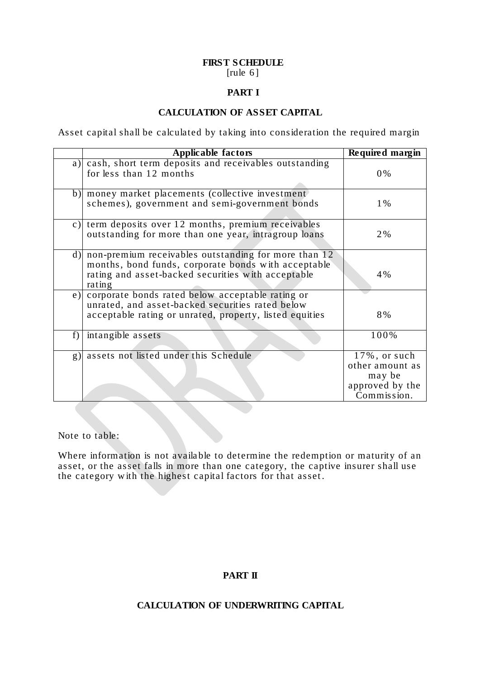### **FIRST SCHEDULE** [ $rule 6 \mid$  [ $|$

# **PART I**

# **CALCULATION OF ASSET CAPITAL**

Asset capital shall be calculated by taking into consideration the required margin

|    | Applicable factors                                                                                                                                                          | Required margin                                                                 |
|----|-----------------------------------------------------------------------------------------------------------------------------------------------------------------------------|---------------------------------------------------------------------------------|
| a) | cash, short term deposits and receivables outstanding<br>for less than 12 months                                                                                            | $0\%$                                                                           |
| b) | money market placements (collective investment)<br>schemes), government and semi-government bonds                                                                           | $1\%$                                                                           |
| c) | term deposits over 12 months, premium receivables<br>outstanding for more than one year, intragroup loans                                                                   | 2%                                                                              |
| d) | non-premium receivables outstanding for more than 12<br>months, bond funds, corporate bonds with acceptable<br>rating and asset-backed securities with acceptable<br>rating | 4%                                                                              |
| e) | corporate bonds rated below acceptable rating or<br>unrated, and asset-backed securities rated below<br>acceptable rating or unrated, property, listed equities             | 8%                                                                              |
| f) | intangible assets                                                                                                                                                           | 100%                                                                            |
| g) | assets not listed under this Schedule                                                                                                                                       | $17\%$ , or such<br>other amount as<br>may be<br>approved by the<br>Commission. |

Note to table:

Where information is not available to determine the redemption or maturity of an asset, or the asset falls in more than one category, the captive insurer shall use the category w ith the highest capital factors for that asset .

# **PART II**

# **CALCULATION OF UNDERWRITING CAPITAL**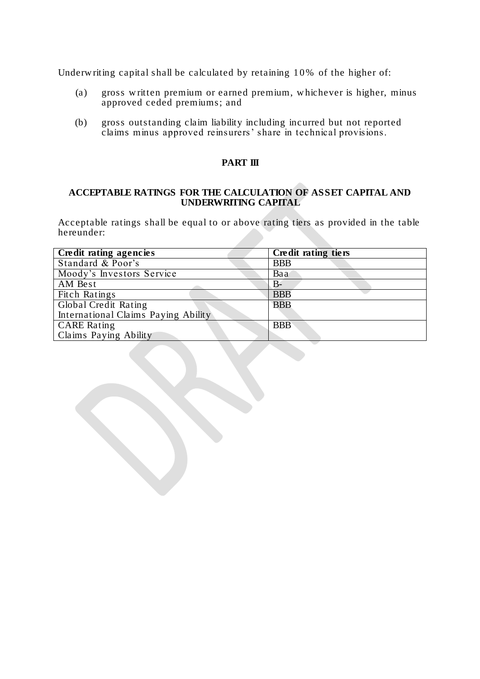Underw riting capital shall be calculated by retaining 10% of the higher of:

- (a) gross w ritten premium or earned premium, w hichever is higher, minus approved ceded premiums; and
- (b) gross outstanding claim liability including incurred but not reported claims minus approved reinsurers' share in technical provisions.

## **PART III**

### **ACCEPTABLE RATINGS FOR THE CALCULATION OF ASSET CAPITAL AND UNDERWRITING CAPITAL**

Acceptable ratings shall be equal to or above rating tiers as provided in the table hereunder:

| Credit rating agencies              | Credit rating tiers |
|-------------------------------------|---------------------|
| Standard & Poor's                   | <b>BBB</b>          |
| Moody's Investors Service           | Baa                 |
| AM Best                             | B-                  |
| Fitch Ratings                       | <b>BBB</b>          |
| Global Credit Rating                | <b>BBB</b>          |
| International Claims Paying Ability |                     |
| <b>CARE</b> Rating                  | <b>BBB</b>          |
| Claims Paying Ability               |                     |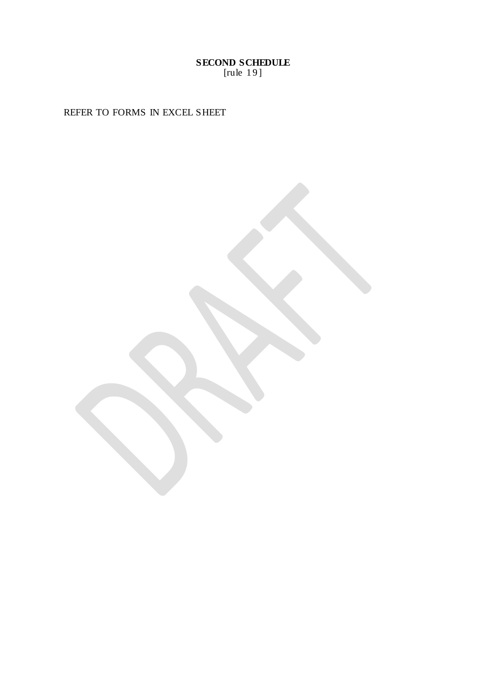**SECOND SCHEDULE** [rule 19]

REFER TO FORMS IN EXCEL SHEET